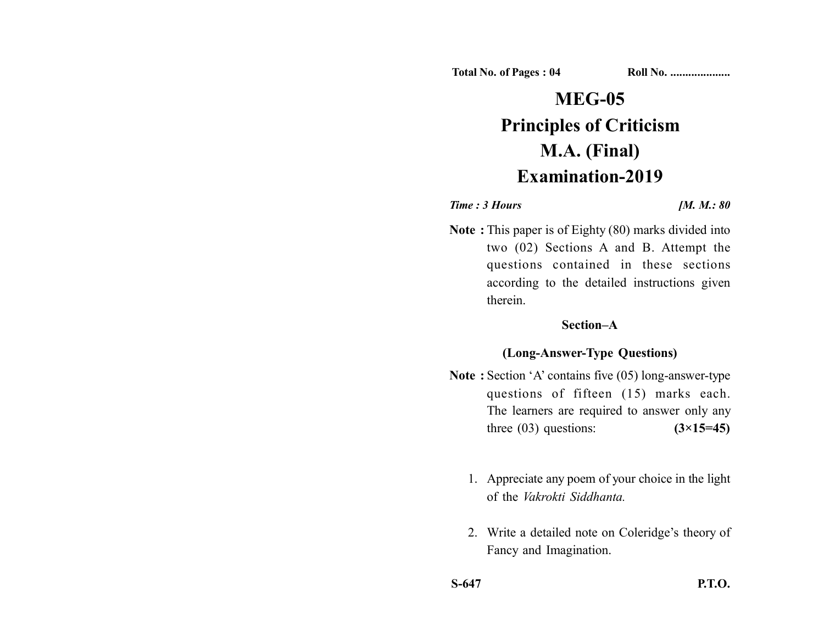**Total No. of Pages : 04 Roll No. ...................** 

# **MEG-05 Principles of Criticism M.A. (Final) Examination-2019**

### *Time : 3 Hours [M. M.: 80]*

**Note :** This paper is of Eighty (80) marks divided into two (02) Sections A and B. Attempt the questions contained in these sections according to the detailed instructions given therein.

## **Section–A**

## **(Long-Answer-Type Questions)**

- **Note :** Section 'A' contains five (05) long-answer-type questions of fifteen (15) marks each. The learners are required to answer only any three (03) questions: **(3×15=45)**
	- 1. Appreciate any poem of your choice in the light of the *Vakrokti Siddhanta.*
	- 2. Write a detailed note on Coleridge's theory of Fancy and Imagination.
- **S-647 P.T.O.**